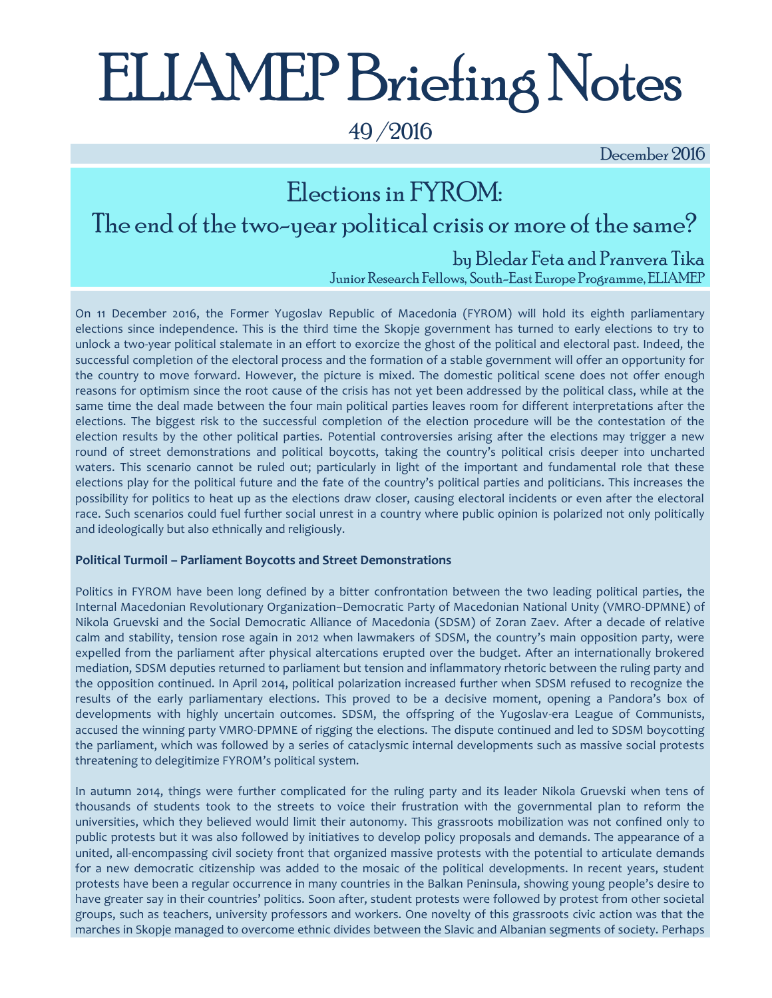# ELIAMEP Briefing Notes

49 /2016

December 2016

### Elections in FYROM: The end of the two-year political crisis or more of the same?

### by Bledar Feta and Pranvera Tika

Junior Research Fellows, South-East Europe Programme, ELIAMEP

On 11 December 2016, the Former Yugoslav Republic of Macedonia (FYROM) will hold its eighth parliamentary elections since independence. This is the third time the Skopje government has turned to early elections to try to unlock a two-year political stalemate in an effort to exorcize the ghost of the political and electoral past. Indeed, the successful completion of the electoral process and the formation of a stable government will offer an opportunity for the country to move forward. However, the picture is mixed. The domestic political scene does not offer enough reasons for optimism since the root cause of the crisis has not yet been addressed by the political class, while at the same time the deal made between the four main political parties leaves room for different interpretations after the elections. The biggest risk to the successful completion of the election procedure will be the contestation of the election results by the other political parties. Potential controversies arising after the elections may trigger a new round of street demonstrations and political boycotts, taking the country's political crisis deeper into uncharted waters. This scenario cannot be ruled out; particularly in light of the important and fundamental role that these elections play for the political future and the fate of the country's political parties and politicians. This increases the possibility for politics to heat up as the elections draw closer, causing electoral incidents or even after the electoral race. Such scenarios could fuel further social unrest in a country where public opinion is polarized not only politically and ideologically but also ethnically and religiously.

### **Political Turmoil – Parliament Boycotts and Street Demonstrations**

Politics in FYROM have been long defined by a bitter confrontation between the two leading political parties, the Internal Macedonian Revolutionary Organization–Democratic Party of Macedonian National Unity (VMRO-DPMNE) of Nikola Gruevski and the Social Democratic Alliance of Macedonia (SDSM) of Zoran Zaev. After a decade of relative calm and stability, tension rose again in 2012 when lawmakers of SDSM, the country's main opposition party, were expelled from the parliament after physical altercations erupted over the budget. After an internationally brokered mediation, SDSM deputies returned to parliament but tension and inflammatory rhetoric between the ruling party and the opposition continued. In April 2014, political polarization increased further when SDSM refused to recognize the results of the early parliamentary elections. This proved to be a decisive moment, opening a Pandora's box of developments with highly uncertain outcomes. SDSM, the offspring of the Yugoslav-era League of Communists, accused the winning party VMRO-DPMNE of rigging the elections. The dispute continued and led to SDSM boycotting the parliament, which was followed by a series of cataclysmic internal developments such as massive social protests threatening to delegitimize FYROM's political system.

In autumn 2014, things were further complicated for the ruling party and its leader Nikola Gruevski when tens of thousands of students took to the streets to voice their frustration with the governmental plan to reform the universities, which they believed would limit their autonomy. This grassroots mobilization was not confined only to public protests but it was also followed by initiatives to develop policy proposals and demands. The appearance of a united, all-encompassing civil society front that organized massive protests with the potential to articulate demands for a new democratic citizenship was added to the mosaic of the political developments. In recent years, student protests have been a regular occurrence in many countries in the Balkan Peninsula, showing young people's desire to have greater say in their countries' politics. Soon after, student protests were followed by protest from other societal groups, such as teachers, university professors and workers. One novelty of this grassroots civic action was that the marches in Skopje managed to overcome ethnic divides between the Slavic and Albanian segments of society. Perhaps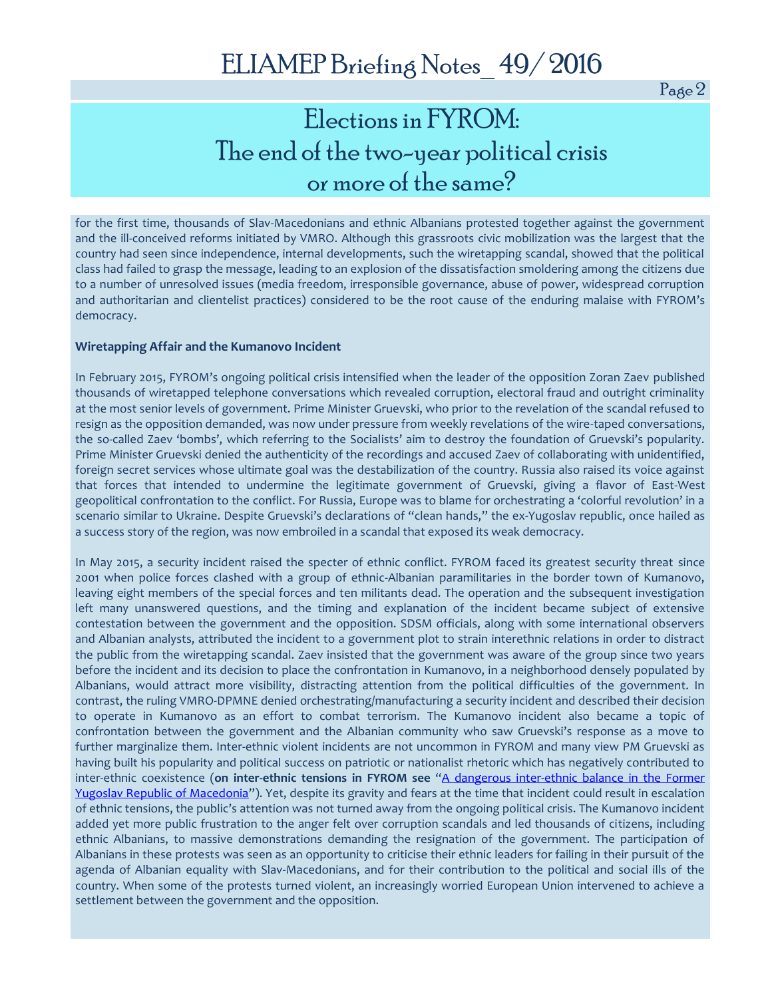## Elections in FYROM: The end of the two-year political crisis or more of the same?

for the first time, thousands of Slav-Macedonians and ethnic Albanians protested together against the government and the ill-conceived reforms initiated by VMRO. Although this grassroots civic mobilization was the largest that the country had seen since independence, internal developments, such the wiretapping scandal, showed that the political class had failed to grasp the message, leading to an explosion of the dissatisfaction smoldering among the citizens due to a number of unresolved issues (media freedom, irresponsible governance, abuse of power, widespread corruption and authoritarian and clientelist practices) considered to be the root cause of the enduring malaise with FYROM's democracy.

### **Wiretapping Affair and the Kumanovo Incident**

In February 2015, FYROM's ongoing political crisis intensified when the leader of the opposition Zoran Zaev published thousands of wiretapped telephone conversations which revealed corruption, electoral fraud and outright criminality at the most senior levels of government. Prime Minister Gruevski, who prior to the revelation of the scandal refused to resign as the opposition demanded, was now under pressure from weekly revelations of the wire-taped conversations, the so-called Zaev 'bombs', which referring to the Socialists' aim to destroy the foundation of Gruevski's popularity. Prime Minister Gruevski denied the authenticity of the recordings and accused Zaev of collaborating with unidentified, foreign secret services whose ultimate goal was the destabilization of the country. Russia also raised its voice against that forces that intended to undermine the legitimate government of Gruevski, giving a flavor of East-West geopolitical confrontation to the conflict. For Russia, Europe was to blame for orchestrating a 'colorful revolution' in a scenario similar to Ukraine. Despite Gruevski's declarations of "clean hands," the ex-Yugoslav republic, once hailed as a success story of the region, was now embroiled in a scandal that exposed its weak democracy.

In May 2015, a security incident raised the specter of ethnic conflict. FYROM faced its greatest security threat since 2001 when police forces clashed with a group of ethnic-Albanian paramilitaries in the border town of Kumanovo, leaving eight members of the special forces and ten militants dead. The operation and the subsequent investigation left many unanswered questions, and the timing and explanation of the incident became subject of extensive contestation between the government and the opposition. SDSM officials, along with some international observers and Albanian analysts, attributed the incident to a government plot to strain interethnic relations in order to distract the public from the wiretapping scandal. Zaev insisted that the government was aware of the group since two years before the incident and its decision to place the confrontation in Kumanovo, in a neighborhood densely populated by Albanians, would attract more visibility, distracting attention from the political difficulties of the government. In contrast, the ruling VMRO-DPMNE denied orchestrating/manufacturing a security incident and described their decision to operate in Kumanovo as an effort to combat terrorism. The Kumanovo incident also became a topic of confrontation between the government and the Albanian community who saw Gruevski's response as a move to further marginalize them. Inter-ethnic violent incidents are not uncommon in FYROM and many view PM Gruevski as having built his popularity and political success on patriotic or nationalist rhetoric which has negatively contributed to inter-ethnic coexistence (**on inter-ethnic tensions in FYROM see** "[A dangerous inter-ethnic balance in the Former](http://www.eliamep.gr/wp-content/uploads/2012/07/Briefing-Notes_24_June-2012_Armakolas_Feta-1.pdf)  [Yugoslav Republic of Macedonia](http://www.eliamep.gr/wp-content/uploads/2012/07/Briefing-Notes_24_June-2012_Armakolas_Feta-1.pdf)"). Yet, despite its gravity and fears at the time that incident could result in escalation of ethnic tensions, the public's attention was not turned away from the ongoing political crisis. The Kumanovo incident added yet more public frustration to the anger felt over corruption scandals and led thousands of citizens, including ethnic Albanians, to massive demonstrations demanding the resignation of the government. The participation of Albanians in these protests was seen as an opportunity to criticise their ethnic leaders for failing in their pursuit of the agenda of Albanian equality with Slav-Macedonians, and for their contribution to the political and social ills of the country. When some of the protests turned violent, an increasingly worried European Union intervened to achieve a settlement between the government and the opposition.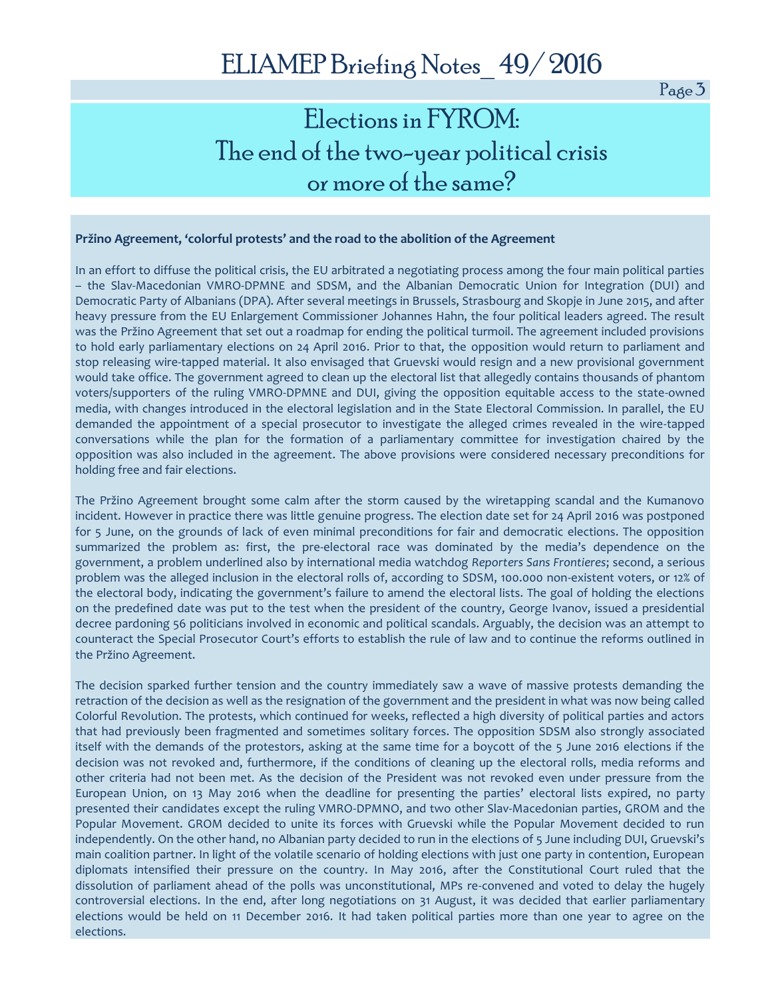### Elections in FYROM: The end of the two-year political crisis or more of the same?

#### **Pržino Agreement, 'colorful protests' and the road to the abolition of the Agreement**

In an effort to diffuse the political crisis, the EU arbitrated a negotiating process among the four main political parties – the Slav-Macedonian VMRO-DPMNE and SDSM, and the Albanian Democratic Union for Integration (DUI) and Democratic Party of Albanians (DPA). After several meetings in Brussels, Strasbourg and Skopje in June 2015, and after heavy pressure from the EU Enlargement Commissioner Johannes Hahn, the four political leaders agreed. The result was the Pržino Agreement that set out a roadmap for ending the political turmoil. The agreement included provisions to hold early parliamentary elections on 24 April 2016. Prior to that, the opposition would return to parliament and stop releasing wire-tapped material. It also envisaged that Gruevski would resign and a new provisional government would take office. The government agreed to clean up the electoral list that allegedly contains thousands of phantom voters/supporters of the ruling VMRO-DPMNE and DUI, giving the opposition equitable access to the state-owned media, with changes introduced in the electoral legislation and in the State Electoral Commission. In parallel, the EU demanded the appointment of a special prosecutor to investigate the alleged crimes revealed in the wire-tapped conversations while the plan for the formation of a parliamentary committee for investigation chaired by the opposition was also included in the agreement. The above provisions were considered necessary preconditions for holding free and fair elections.

The Pržino Agreement brought some calm after the storm caused by the wiretapping scandal and the Kumanovo incident. However in practice there was little genuine progress. The election date set for 24 April 2016 was postponed for 5 June, on the grounds of lack of even minimal preconditions for fair and democratic elections. The opposition summarized the problem as: first, the pre-electoral race was dominated by the media's dependence on the government, a problem underlined also by international media watchdog *Reporters Sans Frontieres*; second, a serious problem was the alleged inclusion in the electoral rolls of, according to SDSM, 100.000 non-existent voters, or 12% of the electoral body, indicating the government's failure to amend the electoral lists. The goal of holding the elections on the predefined date was put to the test when the president of the country, George Ivanov, issued a presidential decree pardoning 56 politicians involved in economic and political scandals. Arguably, the decision was an attempt to counteract the Special Prosecutor Court's efforts to establish the rule of law and to continue the reforms outlined in the Pržino Agreement.

The decision sparked further tension and the country immediately saw a wave of massive protests demanding the retraction of the decision as well as the resignation of the government and the president in what was now being called Colorful Revolution. The protests, which continued for weeks, reflected a high diversity of political parties and actors that had previously been fragmented and sometimes solitary forces. The opposition SDSM also strongly associated itself with the demands of the protestors, asking at the same time for a boycott of the 5 June 2016 elections if the decision was not revoked and, furthermore, if the conditions of cleaning up the electoral rolls, media reforms and other criteria had not been met. As the decision of the President was not revoked even under pressure from the European Union, on 13 May 2016 when the deadline for presenting the parties' electoral lists expired, no party presented their candidates except the ruling VMRO-DPMNO, and two other Slav-Macedonian parties, GROM and the Popular Movement. GROM decided to unite its forces with Gruevski while the Popular Movement decided to run independently. On the other hand, no Albanian party decided to run in the elections of 5 June including DUI, Gruevski's main coalition partner. In light of the volatile scenario of holding elections with just one party in contention, European diplomats intensified their pressure on the country. In May 2016, after the Constitutional Court ruled that the dissolution of parliament ahead of the polls was unconstitutional, MPs re-convened and voted to delay the hugely controversial elections. In the end, after long negotiations on 31 August, it was decided that earlier parliamentary elections would be held on 11 December 2016. It had taken political parties more than one year to agree on the elections.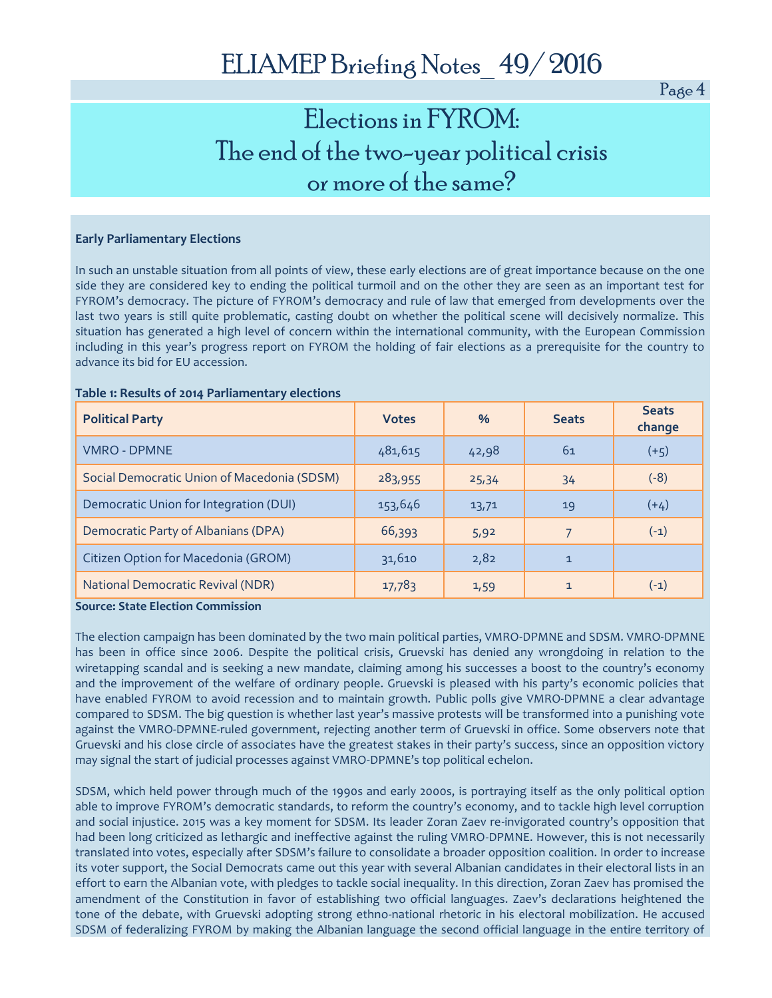### Elections in FYROM: The end of the two-year political crisis or more of the same?

#### **Early Parliamentary Elections**

In such an unstable situation from all points of view, these early elections are of great importance because on the one side they are considered key to ending the political turmoil and on the other they are seen as an important test for FYROM's democracy. The picture of FYROM's democracy and rule of law that emerged from developments over the last two years is still quite problematic, casting doubt on whether the political scene will decisively normalize. This situation has generated a high level of concern within the international community, with the European Commission including in this year's progress report on FYROM the holding of fair elections as a prerequisite for the country to advance its bid for EU accession.

#### **Table 1: Results of 2014 Parliamentary elections**

| <b>Political Party</b>                      | <b>Votes</b> | $\frac{0}{6}$ | <b>Seats</b> | <b>Seats</b><br>change |
|---------------------------------------------|--------------|---------------|--------------|------------------------|
| <b>VMRO - DPMNE</b>                         | 481,615      | 42,98         | 61           | $(+5)$                 |
| Social Democratic Union of Macedonia (SDSM) | 283,955      | 25,34         | 34           | $(-8)$                 |
| Democratic Union for Integration (DUI)      | 153,646      | 13,71         | 19           | $(+4)$                 |
| Democratic Party of Albanians (DPA)         | 66,393       | 5,92          | 7            | $(-1)$                 |
| Citizen Option for Macedonia (GROM)         | 31,610       | 2,82          | $\mathbf{1}$ |                        |
| <b>National Democratic Revival (NDR)</b>    | 17,783       | 1,59          | $\mathbf{1}$ | $(-1)$                 |

**Source: State Election Commission**

The election campaign has been dominated by the two main political parties, VMRO-DPMNE and SDSM. VMRO-DPMNE has been in office since 2006. Despite the political crisis, Gruevski has denied any wrongdoing in relation to the wiretapping scandal and is seeking a new mandate, claiming among his successes a boost to the country's economy and the improvement of the welfare of ordinary people. Gruevski is pleased with his party's economic policies that have enabled FYROM to avoid recession and to maintain growth. Public polls give VMRO-DPMNE a clear advantage compared to SDSM. The big question is whether last year's massive protests will be transformed into a punishing vote against the VMRO-DPMNE-ruled government, rejecting another term of Gruevski in office. Some observers note that Gruevski and his close circle of associates have the greatest stakes in their party's success, since an opposition victory may signal the start of judicial processes against VMRO-DPMNE's top political echelon.

SDSM, which held power through much of the 1990s and early 2000s, is portraying itself as the only political option able to improve FYROM's democratic standards, to reform the country's economy, and to tackle high level corruption and social injustice. 2015 was a key moment for SDSM. Its leader Zoran Zaev re-invigorated country's opposition that had been long criticized as lethargic and ineffective against the ruling VMRO-DPMNE. However, this is not necessarily translated into votes, especially after SDSM's failure to consolidate a broader opposition coalition. In order to increase its voter support, the Social Democrats came out this year with several Albanian candidates in their electoral lists in an effort to earn the Albanian vote, with pledges to tackle social inequality. In this direction, Zoran Zaev has promised the amendment of the Constitution in favor of establishing two official languages. Zaev's declarations heightened the tone of the debate, with Gruevski adopting strong ethno-national rhetoric in his electoral mobilization. He accused SDSM of federalizing FYROM by making the Albanian language the second official language in the entire territory of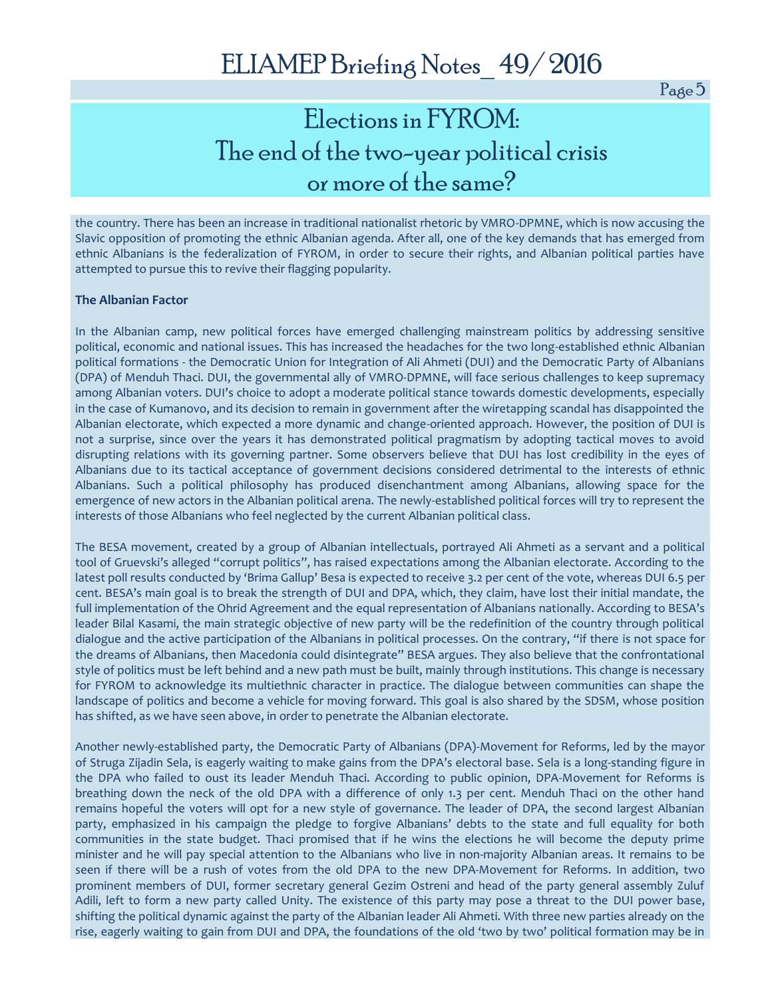## Elections in FYROM: The end of the two-year political crisis or more of the same?

the country. There has been an increase in traditional nationalist rhetoric by VMRO-DPMNE, which is now accusing the Slavic opposition of promoting the ethnic Albanian agenda. After all, one of the key demands that has emerged from ethnic Albanians is the federalization of FYROM, in order to secure their rights, and Albanian political parties have attempted to pursue this to revive their flagging popularity.

#### **The Albanian Factor**

In the Albanian camp, new political forces have emerged challenging mainstream politics by addressing sensitive political, economic and national issues. This has increased the headaches for the two long-established ethnic Albanian political formations - the Democratic Union for Integration of Ali Ahmeti (DUI) and the Democratic Party of Albanians (DPA) of Menduh Thaci. DUI, the governmental ally of VMRO-DPMNE, will face serious challenges to keep supremacy among Albanian voters. DUI's choice to adopt a moderate political stance towards domestic developments, especially in the case of Kumanovo, and its decision to remain in government after the wiretapping scandal has disappointed the Albanian electorate, which expected a more dynamic and change-oriented approach. However, the position of DUI is not a surprise, since over the years it has demonstrated political pragmatism by adopting tactical moves to avoid disrupting relations with its governing partner. Some observers believe that DUI has lost credibility in the eyes of Albanians due to its tactical acceptance of government decisions considered detrimental to the interests of ethnic Albanians. Such a political philosophy has produced disenchantment among Albanians, allowing space for the emergence of new actors in the Albanian political arena. The newly-established political forces will try to represent the interests of those Albanians who feel neglected by the current Albanian political class.

The BESA movement, created by a group of Albanian intellectuals, portrayed Ali Ahmeti as a servant and a political tool of Gruevski's alleged "corrupt politics", has raised expectations among the Albanian electorate. According to the latest poll results conducted by 'Brima Gallup' Besa is expected to receive 3.2 per cent of the vote, whereas DUI 6.5 per cent. BESA's main goal is to break the strength of DUI and DPA, which, they claim, have lost their initial mandate, the full implementation of the Ohrid Agreement and the equal representation of Albanians nationally. According to BESA's leader Bilal Kasami, the main strategic objective of new party will be the redefinition of the country through political dialogue and the active participation of the Albanians in political processes. On the contrary, "if there is not space for the dreams of Albanians, then Macedonia could disintegrate" BESA argues. They also believe that the confrontational style of politics must be left behind and a new path must be built, mainly through institutions. This change is necessary for FYROM to acknowledge its multiethnic character in practice. The dialogue between communities can shape the landscape of politics and become a vehicle for moving forward. This goal is also shared by the SDSM, whose position has shifted, as we have seen above, in order to penetrate the Albanian electorate.

Another newly-established party, the Democratic Party of Albanians (DPA)-Movement for Reforms, led by the mayor of Struga Zijadin Sela, is eagerly waiting to make gains from the DPA's electoral base. Sela is a long-standing figure in the DPA who failed to oust its leader Menduh Thaci. According to public opinion, DPA-Movement for Reforms is breathing down the neck of the old DPA with a difference of only 1.3 per cent. Menduh Thaci on the other hand remains hopeful the voters will opt for a new style of governance. The leader of DPA, the second largest Albanian party, emphasized in his campaign the pledge to forgive Albanians' debts to the state and full equality for both communities in the state budget. Thaci promised that if he wins the elections he will become the deputy prime minister and he will pay special attention to the Albanians who live in non-majority Albanian areas. It remains to be seen if there will be a rush of votes from the old DPA to the new DPA-Movement for Reforms. In addition, two prominent members of DUI, former secretary general Gezim Ostreni and head of the party general assembly Zuluf Adili, left to form a new party called Unity. The existence of this party may pose a threat to the DUI power base, shifting the political dynamic against the party of the Albanian leader Ali Ahmeti. With three new parties already on the rise, eagerly waiting to gain from DUI and DPA, the foundations of the old 'two by two' political formation may be in